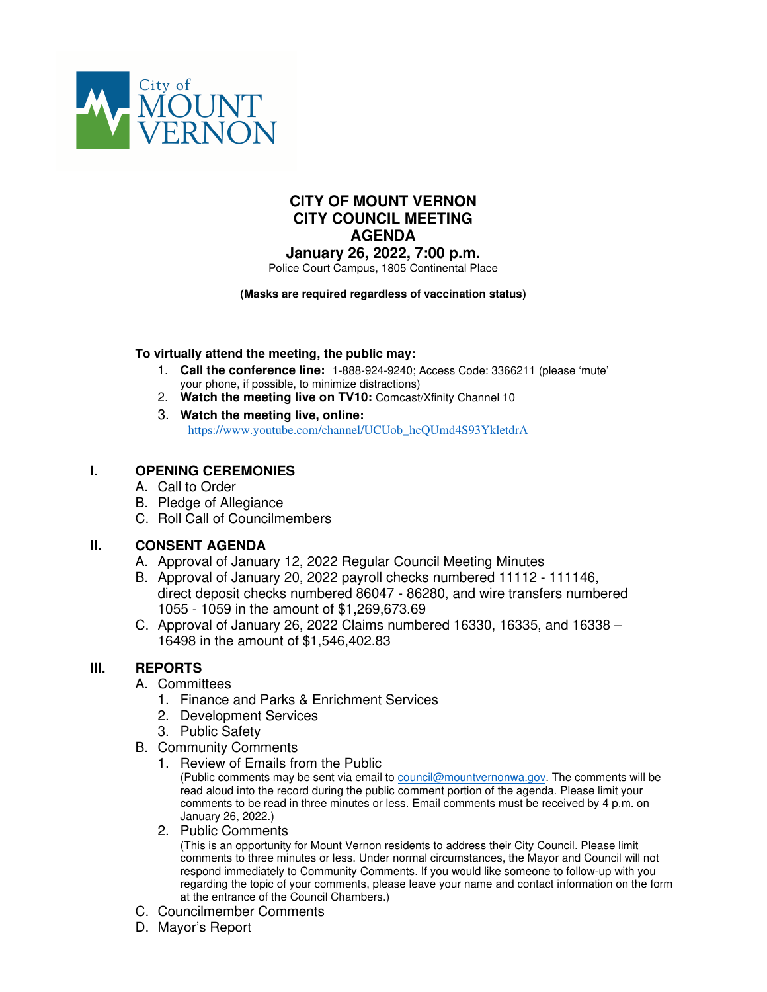

# **CITY OF MOUNT VERNON CITY COUNCIL MEETING AGENDA**

**January 26, 2022, 7:00 p.m.** Police Court Campus, 1805 Continental Place

#### **(Masks are required regardless of vaccination status)**

#### **To virtually attend the meeting, the public may:**

- 1. **Call the conference line:** 1-888-924-9240; Access Code: 3366211 (please 'mute' your phone, if possible, to minimize distractions)
- 2. **Watch the meeting live on TV10:** Comcast/Xfinity Channel 10
- 3. **Watch the meeting live, online:** https://www.youtube.com/channel/UCUob\_hcQUmd4S93YkletdrA

# **I. OPENING CEREMONIES**

- A. Call to Order
- B. Pledge of Allegiance
- C. Roll Call of Councilmembers

# **II. CONSENT AGENDA**

- A. Approval of January 12, 2022 Regular Council Meeting Minutes
- B. Approval of January 20, 2022 payroll checks numbered 11112 111146, direct deposit checks numbered 86047 - 86280, and wire transfers numbered 1055 - 1059 in the amount of \$1,269,673.69
- C. Approval of January 26, 2022 Claims numbered 16330, 16335, and 16338 16498 in the amount of \$1,546,402.83

# **III. REPORTS**

#### A. Committees

- 1. Finance and Parks & Enrichment Services
- 2. Development Services
- 3. Public Safety
- B. Community Comments
	- 1. Review of Emails from the Public

(Public comments may be sent via email to council@mountvernonwa.gov. The comments will be read aloud into the record during the public comment portion of the agenda. Please limit your comments to be read in three minutes or less. Email comments must be received by 4 p.m. on January 26, 2022.)

2. Public Comments

(This is an opportunity for Mount Vernon residents to address their City Council. Please limit comments to three minutes or less. Under normal circumstances, the Mayor and Council will not respond immediately to Community Comments. If you would like someone to follow-up with you regarding the topic of your comments, please leave your name and contact information on the form at the entrance of the Council Chambers.)

- C. Councilmember Comments
- D. Mayor's Report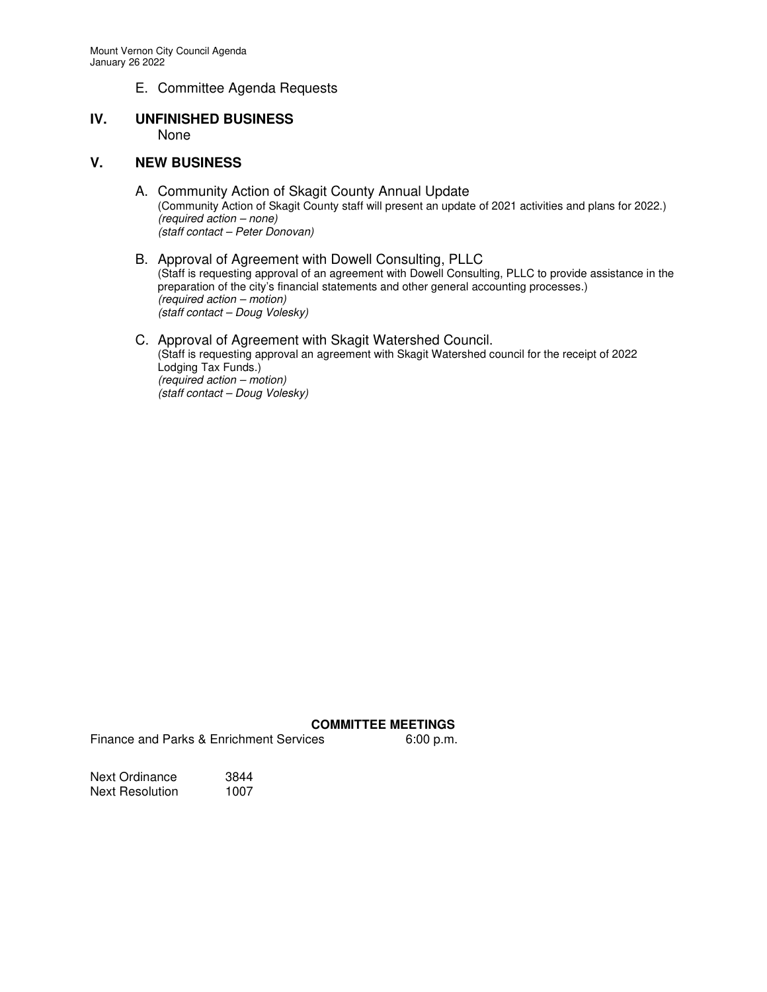E. Committee Agenda Requests

# **IV. UNFINISHED BUSINESS**  None

# **V. NEW BUSINESS**

- A. Community Action of Skagit County Annual Update (Community Action of Skagit County staff will present an update of 2021 activities and plans for 2022.) (required action – none) (staff contact – Peter Donovan)
- B. Approval of Agreement with Dowell Consulting, PLLC (Staff is requesting approval of an agreement with Dowell Consulting, PLLC to provide assistance in the preparation of the city's financial statements and other general accounting processes.) (required action – motion) (staff contact – Doug Volesky)

#### C. Approval of Agreement with Skagit Watershed Council. (Staff is requesting approval an agreement with Skagit Watershed council for the receipt of 2022 Lodging Tax Funds.) (required action – motion) (staff contact – Doug Volesky)

#### **COMMITTEE MEETINGS**

Finance and Parks & Enrichment Services 6:00 p.m.

Next Ordinance 3844 Next Resolution 1007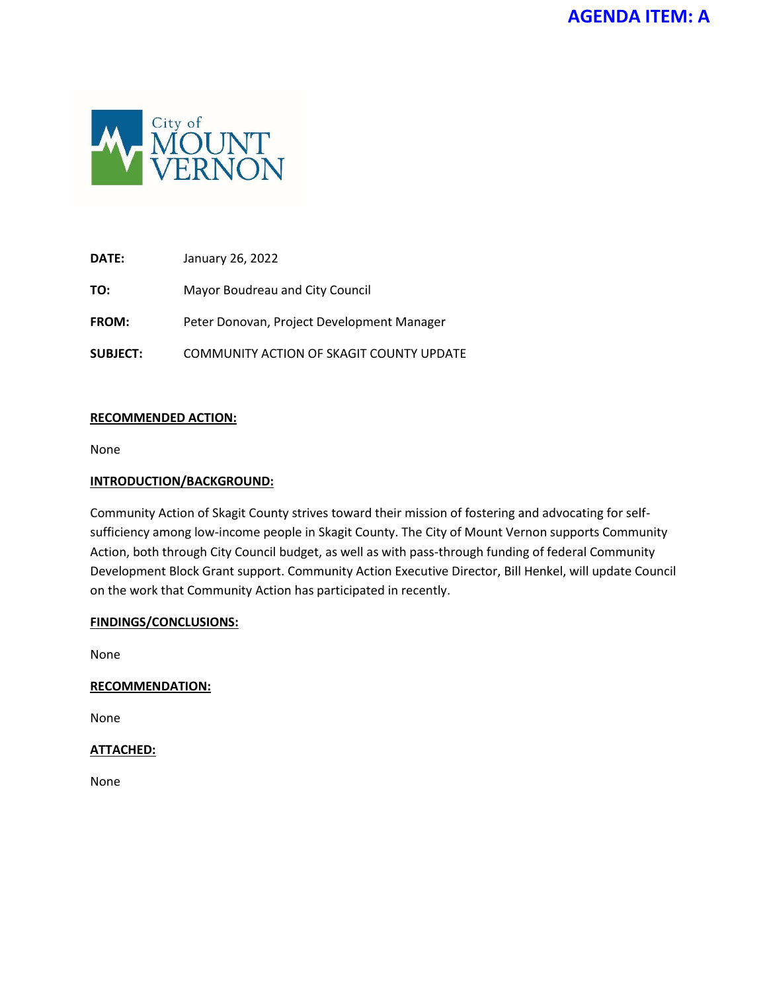

**DATE:** January 26, 2022

**TO:** Mayor Boudreau and City Council

**FROM:** Peter Donovan, Project Development Manager

**SUBJECT:** COMMUNITY ACTION OF SKAGIT COUNTY UPDATE

# **RECOMMENDED ACTION:**

None

# **INTRODUCTION/BACKGROUND:**

Community Action of Skagit County strives toward their mission of fostering and advocating for selfsufficiency among low-income people in Skagit County. The City of Mount Vernon supports Community Action, both through City Council budget, as well as with pass-through funding of federal Community Development Block Grant support. Community Action Executive Director, Bill Henkel, will update Council on the work that Community Action has participated in recently.

# **FINDINGS/CONCLUSIONS:**

None

# **RECOMMENDATION:**

None

# **ATTACHED:**

None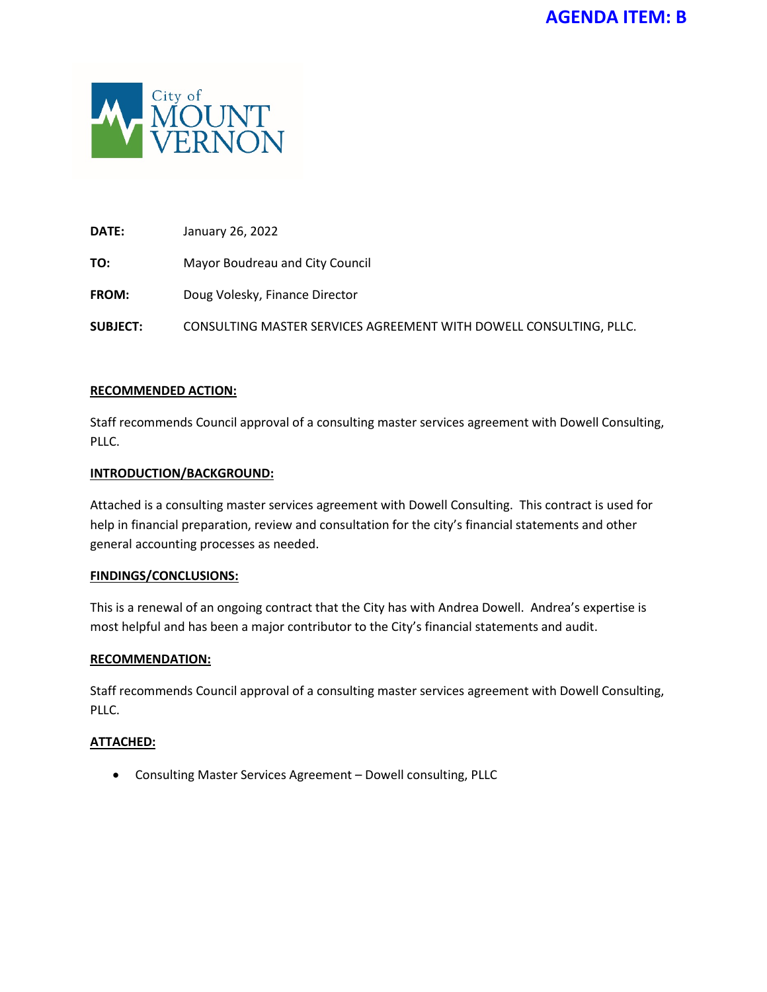

**DATE:** January 26, 2022

**TO:** Mayor Boudreau and City Council

**FROM:** Doug Volesky, Finance Director

**SUBJECT:** CONSULTING MASTER SERVICES AGREEMENT WITH DOWELL CONSULTING, PLLC.

# **RECOMMENDED ACTION:**

Staff recommends Council approval of a consulting master services agreement with Dowell Consulting, PLLC.

# **INTRODUCTION/BACKGROUND:**

Attached is a consulting master services agreement with Dowell Consulting. This contract is used for help in financial preparation, review and consultation for the city's financial statements and other general accounting processes as needed.

#### **FINDINGS/CONCLUSIONS:**

This is a renewal of an ongoing contract that the City has with Andrea Dowell. Andrea's expertise is most helpful and has been a major contributor to the City's financial statements and audit.

#### **RECOMMENDATION:**

Staff recommends Council approval of a consulting master services agreement with Dowell Consulting, PLLC.

# **ATTACHED:**

• Consulting Master Services Agreement – Dowell consulting, PLLC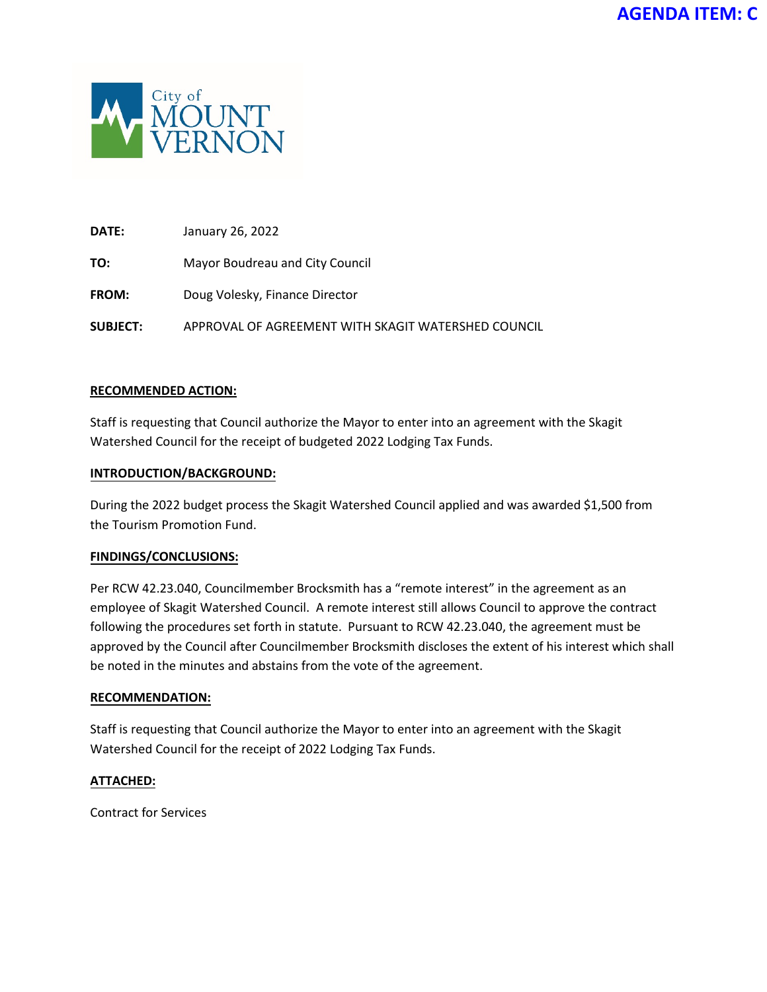

**DATE:** January 26, 2022

**TO:** Mayor Boudreau and City Council

**FROM:** Doug Volesky, Finance Director

**SUBJECT:** APPROVAL OF AGREEMENT WITH SKAGIT WATERSHED COUNCIL

# **RECOMMENDED ACTION:**

Staff is requesting that Council authorize the Mayor to enter into an agreement with the Skagit Watershed Council for the receipt of budgeted 2022 Lodging Tax Funds.

#### **INTRODUCTION/BACKGROUND:**

During the 2022 budget process the Skagit Watershed Council applied and was awarded \$1,500 from the Tourism Promotion Fund.

#### **FINDINGS/CONCLUSIONS:**

Per RCW 42.23.040, Councilmember Brocksmith has a "remote interest" in the agreement as an employee of Skagit Watershed Council. A remote interest still allows Council to approve the contract following the procedures set forth in statute. Pursuant to RCW 42.23.040, the agreement must be approved by the Council after Councilmember Brocksmith discloses the extent of his interest which shall be noted in the minutes and abstains from the vote of the agreement.

#### **RECOMMENDATION:**

Staff is requesting that Council authorize the Mayor to enter into an agreement with the Skagit Watershed Council for the receipt of 2022 Lodging Tax Funds.

# **ATTACHED:**

Contract for Services